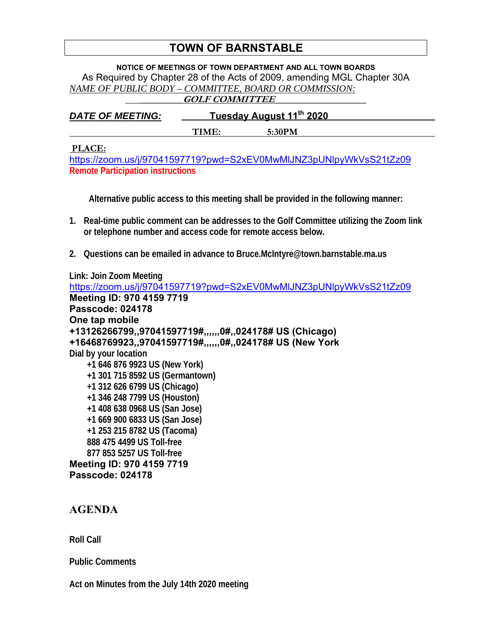## **TOWN OF BARNSTABLE**

**NOTICE OF MEETINGS OF TOWN DEPARTMENT AND ALL TOWN BOARDS**  As Required by Chapter 28 of the Acts of 2009, amending MGL Chapter 30A *NAME OF PUBLIC BODY – COMMITTEE, BOARD OR COMMISSION:*   **\_\_\_\_\_\_\_\_\_GOLF COMMITTEE\_\_\_\_\_\_\_\_\_\_\_\_\_\_\_\_\_\_\_** 

| <b>DATE OF MEETING:</b> | <u>Tuesday August 11th 2020</u> |        |  |
|-------------------------|---------------------------------|--------|--|
|                         | TIME:                           | 5:30PM |  |

## **PLACE:**

https://zoom.us/j/97041597719?pwd=S2xEV0MwMlJNZ3pUNlpyWkVsS21tZz09 **Remote Participation instructions** 

**Alternative public access to this meeting shall be provided in the following manner:** 

- **1. Real-time public comment can be addresses to the Golf Committee utilizing the Zoom link or telephone number and access code for remote access below.**
- **2. Questions can be emailed in advance to Bruce.McIntyre@town.barnstable.ma.us**

**Link: Join Zoom Meeting**  https://zoom.us/j/97041597719?pwd=S2xEV0MwMlJNZ3pUNlpyWkVsS21tZz09 **Meeting ID: 970 4159 7719 Passcode: 024178 One tap mobile +13126266799,,97041597719#,,,,,,0#,,024178# US (Chicago) +16468769923,,97041597719#,,,,,,0#,,024178# US (New York Dial by your location +1 646 876 9923 US (New York) +1 301 715 8592 US (Germantown) +1 312 626 6799 US (Chicago) +1 346 248 7799 US (Houston) +1 408 638 0968 US (San Jose) +1 669 900 6833 US (San Jose) +1 253 215 8782 US (Tacoma) 888 475 4499 US Toll-free 877 853 5257 US Toll-free Meeting ID: 970 4159 7719 Passcode: 024178** 

## **AGENDA**

**Roll Call** 

**Public Comments** 

**Act on Minutes from the July 14th 2020 meeting**